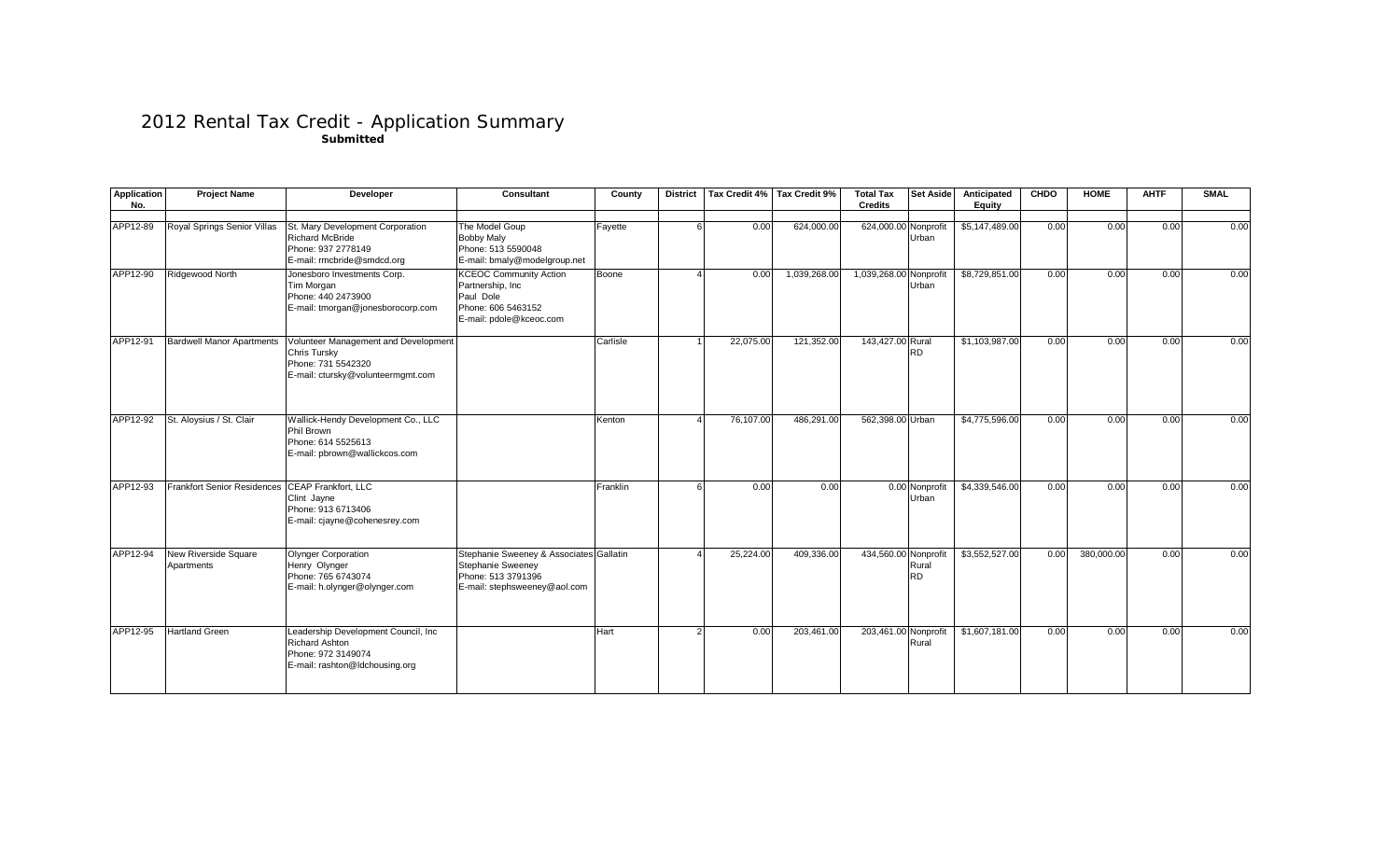## 2012 Rental Tax Credit - Application Summary **Submitted**

| <b>Application</b><br>No. | <b>Project Name</b>                       | Developer                                                                                                       | <b>Consultant</b>                                                                                                  | County   | <b>District</b> |           | Tax Credit 4% Tax Credit 9% | <b>Total Tax</b><br><b>Credits</b> | <b>Set Aside</b>        | Anticipated<br>Equity | <b>CHDO</b> | <b>HOME</b> | <b>AHTF</b> | <b>SMAL</b> |
|---------------------------|-------------------------------------------|-----------------------------------------------------------------------------------------------------------------|--------------------------------------------------------------------------------------------------------------------|----------|-----------------|-----------|-----------------------------|------------------------------------|-------------------------|-----------------------|-------------|-------------|-------------|-------------|
| APP12-89                  | Royal Springs Senior Villas               | St. Mary Development Corporation<br><b>Richard McBride</b><br>Phone: 937 2778149<br>E-mail: rmcbride@smdcd.org  | The Model Goup<br><b>Bobby Maly</b><br>Phone: 513 5590048<br>E-mail: bmaly@modelgroup.net                          | Fayette  |                 | 0.00      | 624,000.00                  | 624,000.00 Nonprofit               | Urban                   | \$5,147,489.00        | 0.00        | 0.00        | 0.00        | 0.00        |
| APP12-90                  | Ridgewood North                           | Jonesboro Investments Corp.<br>Tim Morgan<br>Phone: 440 2473900<br>E-mail: tmorgan@jonesborocorp.com            | <b>KCEOC Community Action</b><br>Partnership, Inc<br>Paul Dole<br>Phone: 606 5463152<br>E-mail: pdole@kceoc.com    | Boone    |                 | 0.00      | 1,039,268.00                | 1,039,268.00 Nonprofit             | Urban                   | \$8,729,851.00        | 0.00        | 0.00        | 0.00        | 0.00        |
| APP12-91                  | <b>Bardwell Manor Apartments</b>          | Volunteer Management and Development<br>Chris Tursky<br>Phone: 731 5542320<br>E-mail: ctursky@volunteermgmt.com |                                                                                                                    | Carlisle |                 | 22,075.00 | 121,352.00                  | 143,427.00 Rural                   | <b>RD</b>               | \$1,103,987.00        | 0.00        | 0.00        | 0.00        | 0.00        |
| APP12-92                  | St. Aloysius / St. Clair                  | Wallick-Hendy Development Co., LLC<br>Phil Brown<br>Phone: 614 5525613<br>E-mail: pbrown@wallickcos.com         |                                                                                                                    | Kenton   |                 | 76,107.00 | 486,291.00                  | 562,398.00 Urban                   |                         | \$4,775,596.00        | 0.00        | 0.00        | 0.00        | 0.00        |
| APP12-93                  | <b>Frankfort Senior Residences</b>        | <b>CEAP Frankfort, LLC</b><br>Clint Jayne<br>Phone: 913 6713406<br>E-mail: cjayne@cohenesrey.com                |                                                                                                                    | Franklin |                 | 0.00      | 0.00                        |                                    | 0.00 Nonprofit<br>Urban | \$4,339,546.00        | 0.00        | 0.00        | 0.00        | 0.00        |
| APP12-94                  | <b>New Riverside Square</b><br>Apartments | <b>Olynger Corporation</b><br>Henry Olynger<br>Phone: 765 6743074<br>E-mail: h.olynger@olynger.com              | Stephanie Sweeney & Associates Gallatin<br>Stephanie Sweeney<br>Phone: 513 3791396<br>E-mail: stephsweeney@aol.com |          |                 | 25,224.00 | 409,336.00                  | 434,560.00 Nonprofit               | Rural<br><b>RD</b>      | \$3,552,527.00        | 0.00        | 380.000.00  | 0.00        | 0.00        |
| APP12-95                  | <b>Hartland Green</b>                     | Leadership Development Council, Inc<br>Richard Ashton<br>Phone: 972 3149074<br>E-mail: rashton@ldchousing.org   |                                                                                                                    | Hart     |                 | 0.00      | 203,461.00                  | 203,461.00 Nonprofit               | Rural                   | \$1,607,181.00        | 0.00        | 0.00        | 0.00        | 0.00        |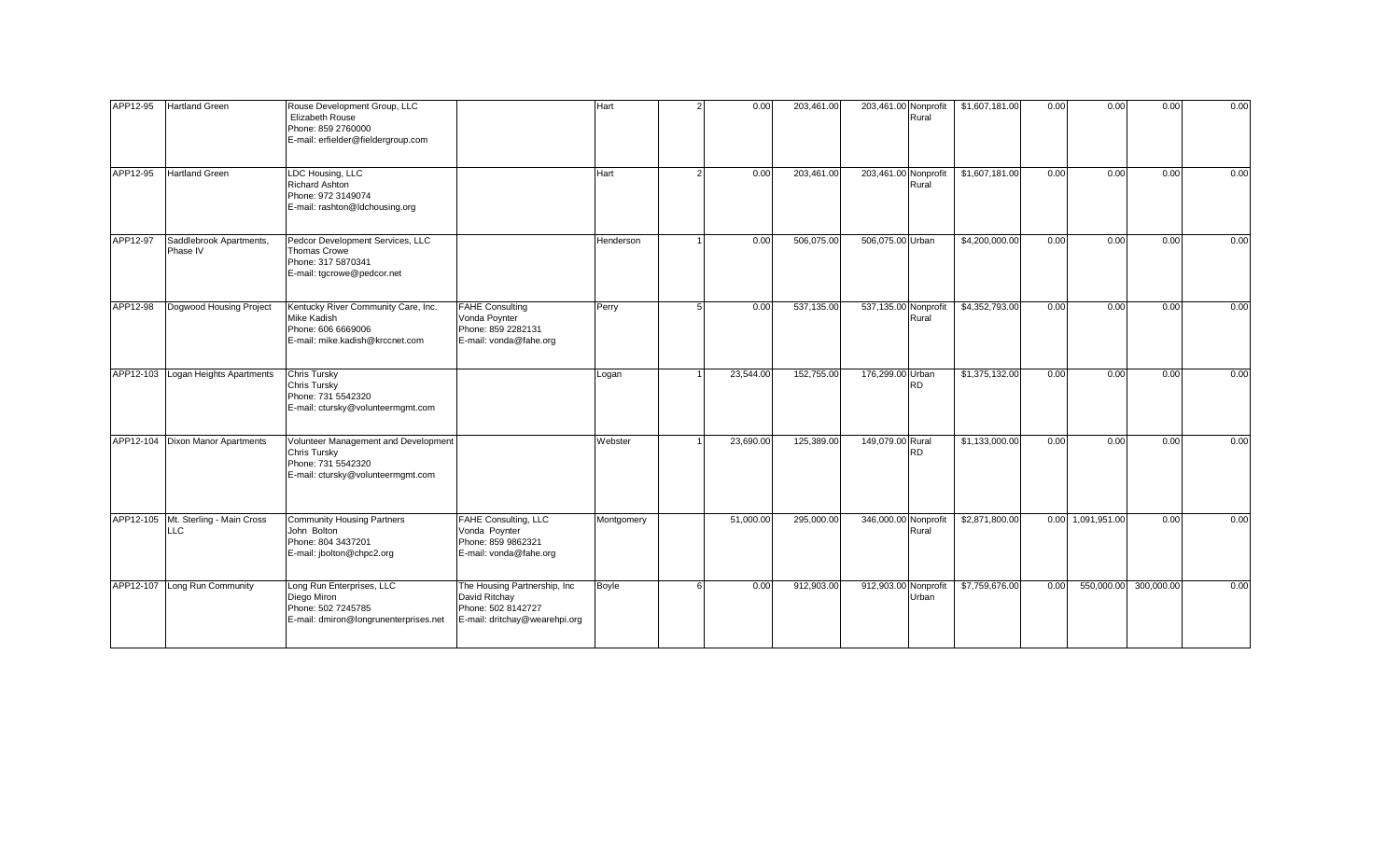| APP12-95 | <b>Hartland Green</b>                             | Rouse Development Group, LLC<br>Elizabeth Rouse<br>Phone: 859 2760000<br>E-mail: erfielder@fieldergroup.com            |                                                                                                       | Hart         |    | 0.00      | 203,461.00 | 203,461.00 Nonprofit | Rural     | \$1,607,181.00 | 0.00 | 0.00              | 0.00       | 0.00 |
|----------|---------------------------------------------------|------------------------------------------------------------------------------------------------------------------------|-------------------------------------------------------------------------------------------------------|--------------|----|-----------|------------|----------------------|-----------|----------------|------|-------------------|------------|------|
| APP12-95 | <b>Hartland Green</b>                             | LDC Housing, LLC<br><b>Richard Ashton</b><br>Phone: 972 3149074<br>E-mail: rashton@ldchousing.org                      |                                                                                                       | Hart         |    | 0.00      | 203,461.00 | 203,461.00 Nonprofit | Rural     | \$1,607,181.00 | 0.00 | 0.00              | 0.00       | 0.00 |
| APP12-97 | Saddlebrook Apartments,<br>Phase IV               | Pedcor Development Services, LLC<br><b>Thomas Crowe</b><br>Phone: 317 5870341<br>E-mail: tgcrowe@pedcor.net            |                                                                                                       | Henderson    |    | 0.00      | 506,075.00 | 506,075.00 Urban     |           | \$4,200,000.00 | 0.00 | 0.00              | 0.00       | 0.00 |
| APP12-98 | Dogwood Housing Project                           | Kentucky River Community Care, Inc.<br>Mike Kadish<br>Phone: 606 6669006<br>E-mail: mike.kadish@krccnet.com            | <b>FAHE Consulting</b><br>Vonda Poynter<br>Phone: 859 2282131<br>E-mail: vonda@fahe.org               | Perry        | -5 | 0.00      | 537,135.00 | 537,135.00 Nonprofit | Rural     | \$4,352,793.00 | 0.00 | 0.00              | 0.00       | 0.00 |
|          | APP12-103 Logan Heights Apartments                | <b>Chris Tursky</b><br>Chris Tursky<br>Phone: 731 5542320<br>E-mail: ctursky@volunteermgmt.com                         |                                                                                                       | Logan        |    | 23,544.00 | 152,755.00 | 176,299.00 Urban     | RD.       | \$1,375,132.00 | 0.00 | 0.00              | 0.00       | 0.00 |
|          | APP12-104 Dixon Manor Apartments                  | Volunteer Management and Development<br><b>Chris Tursky</b><br>Phone: 731 5542320<br>E-mail: ctursky@volunteermgmt.com |                                                                                                       | Webster      |    | 23,690.00 | 125,389.00 | 149,079.00 Rural     | <b>RD</b> | \$1,133,000.00 | 0.00 | 0.00              | 0.00       | 0.00 |
|          | APP12-105 Mt. Sterling - Main Cross<br><b>LLC</b> | <b>Community Housing Partners</b><br>John Bolton<br>Phone: 804 3437201<br>E-mail: jbolton@chpc2.org                    | <b>FAHE Consulting, LLC</b><br>Vonda Poynter<br>Phone: 859 9862321<br>E-mail: vonda@fahe.org          | Montgomery   |    | 51,000.00 | 295,000.00 | 346,000.00 Nonprofit | Rural     | \$2,871,800.00 |      | 0.00 1,091,951.00 | 0.00       | 0.00 |
|          | APP12-107 Long Run Community                      | Long Run Enterprises, LLC<br>Diego Miron<br>Phone: 502 7245785<br>E-mail: dmiron@longrunenterprises.net                | The Housing Partnership, Inc.<br>David Ritchay<br>Phone: 502 8142727<br>E-mail: dritchay@wearehpi.org | <b>Boyle</b> | -6 | 0.00      | 912,903.00 | 912,903.00 Nonprofit | Urban     | \$7,759,676.00 | 0.00 | 550,000.00        | 300,000.00 | 0.00 |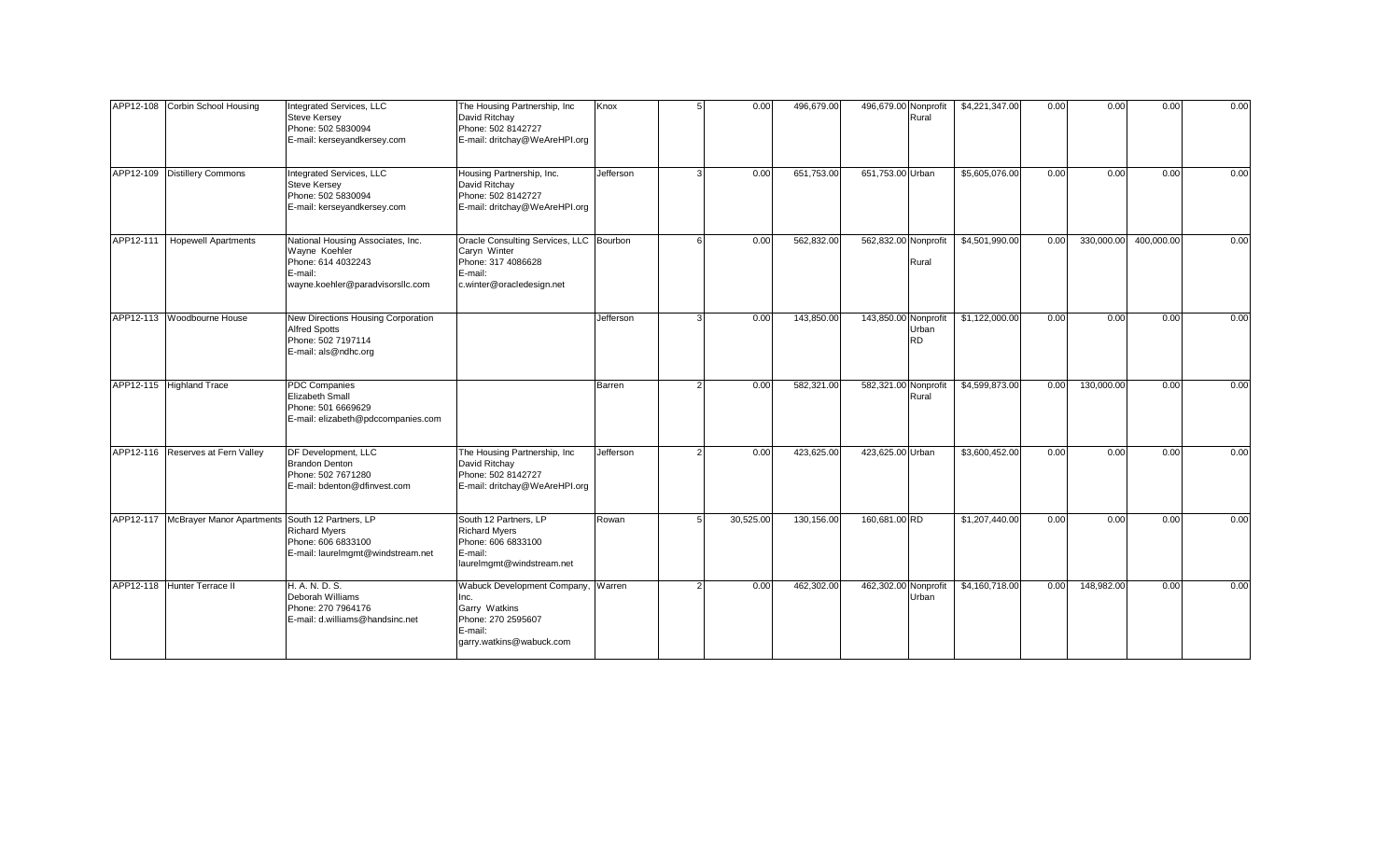| APP12-108 Corbin School Housing                           | <b>Integrated Services, LLC</b><br><b>Steve Kersey</b><br>Phone: 502 5830094<br>E-mail: kerseyandkersey.com             | The Housing Partnership, Inc<br>David Ritchay<br>Phone: 502 8142727<br>E-mail: dritchay@WeAreHPI.org                  | Knox      | 0.00      | 496,679.00 | 496,679.00 Nonprofit | Rural              | \$4,221,347.00 | 0.00 | 0.00       | 0.00       | 0.00 |
|-----------------------------------------------------------|-------------------------------------------------------------------------------------------------------------------------|-----------------------------------------------------------------------------------------------------------------------|-----------|-----------|------------|----------------------|--------------------|----------------|------|------------|------------|------|
| APP12-109 Distillery Commons                              | Integrated Services, LLC<br><b>Steve Kersey</b><br>Phone: 502 5830094<br>E-mail: kerseyandkersey.com                    | Housing Partnership, Inc.<br>David Ritchay<br>Phone: 502 8142727<br>E-mail: dritchay@WeAreHPI.org                     | Jefferson | 0.00      | 651,753.00 | 651,753.00 Urban     |                    | \$5,605,076.00 | 0.00 | 0.00       | 0.00       | 0.00 |
| APP12-111   Hopewell Apartments                           | National Housing Associates, Inc.<br>Wayne Koehler<br>Phone: 614 4032243<br>E-mail:<br>wayne.koehler@paradvisorsllc.com | Oracle Consulting Services, LLC Bourbon<br>Caryn Winter<br>Phone: 317 4086628<br>E-mail:<br>c.winter@oracledesign.net |           | 0.00      | 562,832.00 | 562,832.00 Nonprofit | Rural              | \$4,501,990.00 | 0.00 | 330,000.00 | 400,000.00 | 0.00 |
| APP12-113 Woodbourne House                                | New Directions Housing Corporation<br><b>Alfred Spotts</b><br>Phone: 502 7197114<br>E-mail: als@ndhc.org                |                                                                                                                       | Jefferson | 0.00      | 143,850.00 | 143,850.00 Nonprofit | Urban<br><b>RD</b> | \$1,122,000.00 | 0.00 | 0.00       | 0.00       | 0.00 |
| APP12-115 Highland Trace                                  | <b>PDC Companies</b><br>Elizabeth Small<br>Phone: 501 6669629<br>E-mail: elizabeth@pdccompanies.com                     |                                                                                                                       | Barren    | 0.00      | 582,321.00 | 582,321.00 Nonprofit | Rural              | \$4,599,873.00 | 0.00 | 130,000.00 | 0.00       | 0.00 |
| APP12-116 Reserves at Fern Valley                         | DF Development, LLC<br><b>Brandon Denton</b><br>Phone: 502 7671280<br>E-mail: bdenton@dfinvest.com                      | The Housing Partnership, Inc<br>David Ritchay<br>Phone: 502 8142727<br>E-mail: dritchay@WeAreHPI.org                  | Jefferson | 0.00      | 423,625.00 | 423,625.00 Urban     |                    | \$3,600,452.00 | 0.00 | 0.00       | 0.00       | 0.00 |
| APP12-117 McBrayer Manor Apartments South 12 Partners, LP | <b>Richard Myers</b><br>Phone: 606 6833100<br>E-mail: laurelmgmt@windstream.net                                         | South 12 Partners, LP<br><b>Richard Myers</b><br>Phone: 606 6833100<br>E-mail:<br>laurelmgmt@windstream.net           | Rowan     | 30,525.00 | 130,156.00 | 160,681.00 RD        |                    | \$1,207,440.00 | 0.00 | 0.00       | 0.00       | 0.00 |
| APP12-118 Hunter Terrace II                               | H. A. N. D. S.<br>Deborah Williams<br>Phone: 270 7964176<br>E-mail: d.williams@handsinc.net                             | Wabuck Development Company,<br>Inc.<br>Garry Watkins<br>Phone: 270 2595607<br>E-mail:<br>garry.watkins@wabuck.com     | Warren    | 0.00      | 462,302.00 | 462,302.00 Nonprofit | Urban              | \$4,160,718.00 | 0.00 | 148,982.00 | 0.00       | 0.00 |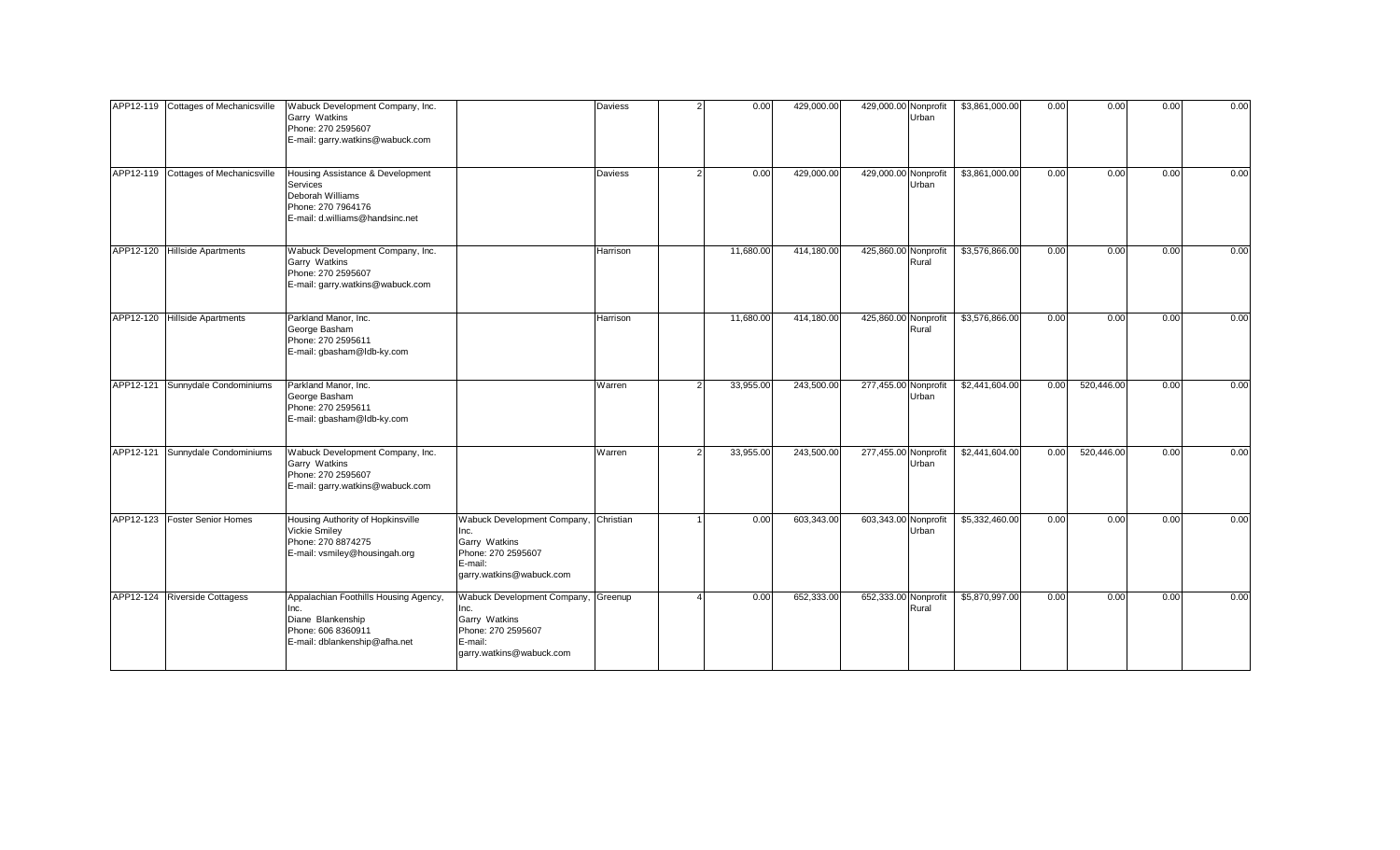|           | APP12-119 Cottages of Mechanicsville | Wabuck Development Company, Inc.<br>Garry Watkins<br>Phone: 270 2595607<br>E-mail: garry.watkins@wabuck.com                      |                                                                                                                             | Daviess  | 0.00      | 429,000.00 | 429,000.00 Nonprofit<br>Urban | \$3,861,000.00 | 0.00 | 0.00       | 0.00 | 0.00 |
|-----------|--------------------------------------|----------------------------------------------------------------------------------------------------------------------------------|-----------------------------------------------------------------------------------------------------------------------------|----------|-----------|------------|-------------------------------|----------------|------|------------|------|------|
|           | APP12-119 Cottages of Mechanicsville | Housing Assistance & Development<br><b>Services</b><br>Deborah Williams<br>Phone: 270 7964176<br>E-mail: d.williams@handsinc.net |                                                                                                                             | Daviess  | 0.00      | 429,000.00 | 429,000.00 Nonprofit<br>Urban | \$3,861,000.00 | 0.00 | 0.00       | 0.00 | 0.00 |
|           | APP12-120 Hillside Apartments        | Wabuck Development Company, Inc.<br>Garry Watkins<br>Phone: 270 2595607<br>E-mail: garry.watkins@wabuck.com                      |                                                                                                                             | Harrison | 11,680.00 | 414,180.00 | 425,860.00 Nonprofit<br>Rural | \$3,576,866.00 | 0.00 | 0.00       | 0.00 | 0.00 |
|           | APP12-120 Hillside Apartments        | Parkland Manor, Inc.<br>George Basham<br>Phone: 270 2595611<br>E-mail: gbasham@ldb-ky.com                                        |                                                                                                                             | Harrison | 11,680.00 | 414,180.00 | 425,860.00 Nonprofit<br>Rural | \$3,576,866.00 | 0.00 | 0.00       | 0.00 | 0.00 |
|           | APP12-121 Sunnydale Condominiums     | Parkland Manor, Inc.<br>George Basham<br>Phone: 270 2595611<br>E-mail: gbasham@ldb-ky.com                                        |                                                                                                                             | Warren   | 33,955.00 | 243,500.00 | 277,455.00 Nonprofit<br>Urban | \$2,441,604.00 | 0.00 | 520,446.00 | 0.00 | 0.00 |
|           | APP12-121 Sunnydale Condominiums     | Wabuck Development Company, Inc.<br>Garry Watkins<br>Phone: 270 2595607<br>E-mail: garry.watkins@wabuck.com                      |                                                                                                                             | Warren   | 33,955.00 | 243,500.00 | 277,455.00 Nonprofit<br>Urban | \$2,441,604.00 | 0.00 | 520,446.00 | 0.00 | 0.00 |
|           | APP12-123   Foster Senior Homes      | Housing Authority of Hopkinsville<br>Vickie Smiley<br>Phone: 270 8874275<br>E-mail: vsmiley@housingah.org                        | Wabuck Development Company, Christian<br>Inc.<br>Garry Watkins<br>Phone: 270 2595607<br>E-mail:<br>garry.watkins@wabuck.com |          | 0.00      | 603,343.00 | 603,343.00 Nonprofit<br>Urban | \$5,332,460.00 | 0.00 | 0.00       | 0.00 | 0.00 |
| APP12-124 | <b>Riverside Cottagess</b>           | Appalachian Foothills Housing Agency,<br>Inc.<br>Diane Blankenship<br>Phone: 606 8360911<br>E-mail: dblankenship@afha.net        | Wabuck Development Company, Greenup<br>Garry Watkins<br>Phone: 270 2595607<br>E-mail:<br>garry.watkins@wabuck.com           |          | 0.00      | 652,333.00 | 652,333.00 Nonprofit<br>Rural | \$5,870,997.00 | 0.00 | 0.00       | 0.00 | 0.00 |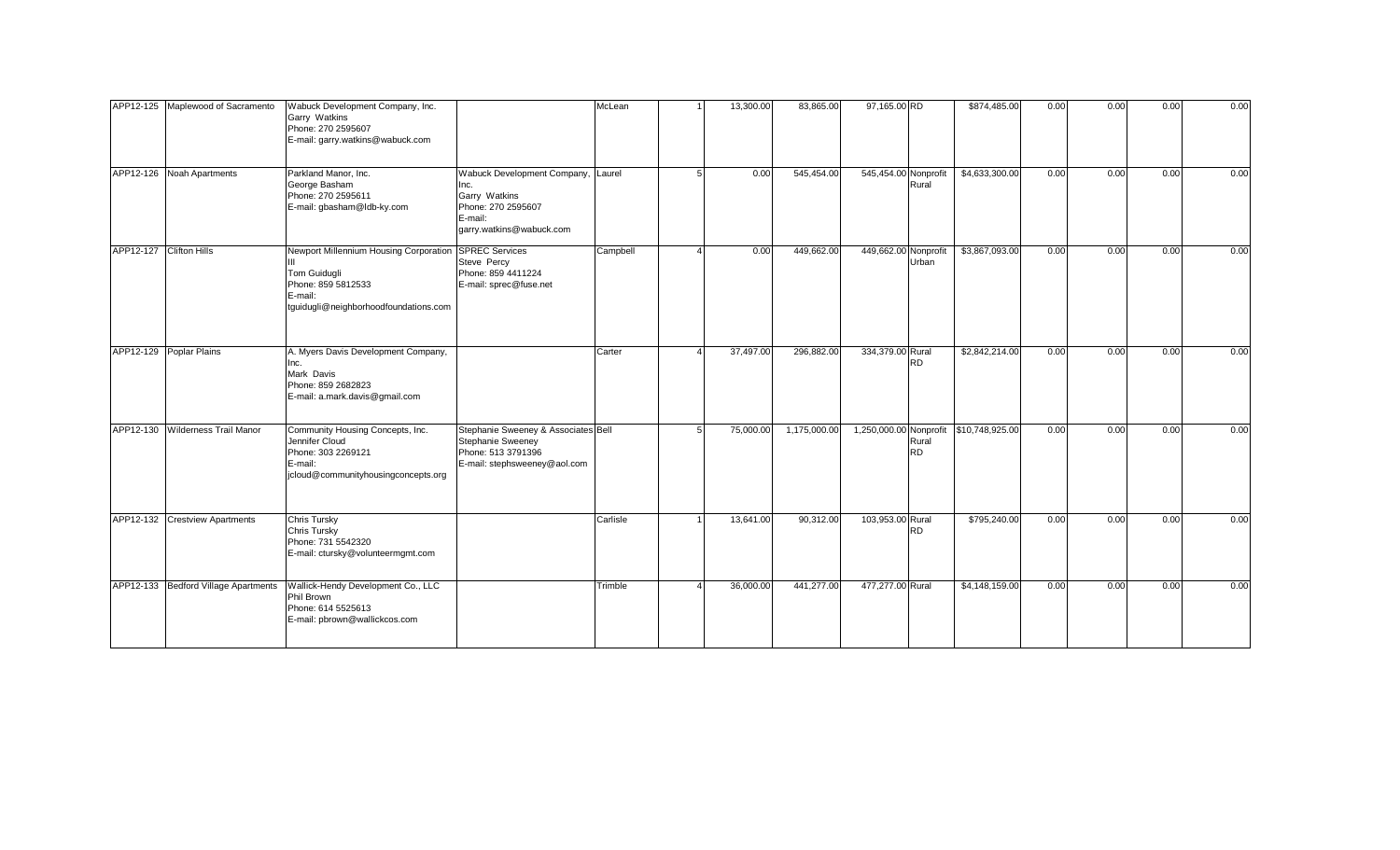|                         | APP12-125 Maplewood of Sacramento    | Wabuck Development Company, Inc.<br>Garry Watkins<br>Phone: 270 2595607<br>E-mail: garry.watkins@wabuck.com                                     |                                                                                                                          | McLean   | 13,300.00 | 83,865.00    | 97,165.00 RD         |                    | \$874,485.00                           | 0.00 | 0.00 | 0.00 | 0.00 |
|-------------------------|--------------------------------------|-------------------------------------------------------------------------------------------------------------------------------------------------|--------------------------------------------------------------------------------------------------------------------------|----------|-----------|--------------|----------------------|--------------------|----------------------------------------|------|------|------|------|
|                         | APP12-126 Noah Apartments            | Parkland Manor, Inc.<br>George Basham<br>Phone: 270 2595611<br>E-mail: gbasham@ldb-ky.com                                                       | Wabuck Development Company, Laurel<br>Inc.<br>Garry Watkins<br>Phone: 270 2595607<br>E-mail:<br>garry.watkins@wabuck.com |          | 0.00      | 545,454.00   | 545,454.00 Nonprofit | Rural              | \$4,633,300.00                         | 0.00 | 0.00 | 0.00 | 0.00 |
| APP12-127 Clifton Hills |                                      | Newport Millennium Housing Corporation SPREC Services<br>Tom Guidugli<br>Phone: 859 5812533<br>E-mail:<br>tguidugli@neighborhoodfoundations.com | Steve Percy<br>Phone: 859 4411224<br>E-mail: sprec@fuse.net                                                              | Campbell | 0.00      | 449,662.00   | 449,662.00           | Nonprofit<br>Urban | \$3,867,093.00                         | 0.00 | 0.00 | 0.00 | 0.00 |
|                         | APP12-129 Poplar Plains              | A. Myers Davis Development Company,<br>Inc.<br>Mark Davis<br>Phone: 859 2682823<br>E-mail: a.mark.davis@gmail.com                               |                                                                                                                          | Carter   | 37,497.00 | 296,882.00   | 334,379.00 Rural     | RD.                | \$2,842,214.00                         | 0.00 | 0.00 | 0.00 | 0.00 |
|                         | APP12-130 Wilderness Trail Manor     | Community Housing Concepts, Inc.<br>Jennifer Cloud<br>Phone: 303 2269121<br>E-mail:<br>jcloud@communityhousingconcepts.org                      | Stephanie Sweeney & Associates Bell<br><b>Stephanie Sweeney</b><br>Phone: 513 3791396<br>E-mail: stephsweeney@aol.com    |          | 75,000.00 | 1,175,000.00 |                      | Rural<br>RD.       | 1,250,000.00 Nonprofit \$10,748,925.00 | 0.00 | 0.00 | 0.00 | 0.00 |
|                         | APP12-132 Crestview Apartments       | Chris Tursky<br>Chris Tursky<br>Phone: 731 5542320<br>E-mail: ctursky@volunteermgmt.com                                                         |                                                                                                                          | Carlisle | 13,641.00 | 90,312.00    | 103,953.00 Rural     | RD                 | \$795,240.00                           | 0.00 | 0.00 | 0.00 | 0.00 |
|                         | APP12-133 Bedford Village Apartments | Wallick-Hendy Development Co., LLC<br>Phil Brown<br>Phone: 614 5525613<br>E-mail: pbrown@wallickcos.com                                         |                                                                                                                          | Trimble  | 36,000.00 | 441,277.00   | 477,277.00 Rural     |                    | \$4,148,159.00                         | 0.00 | 0.00 | 0.00 | 0.00 |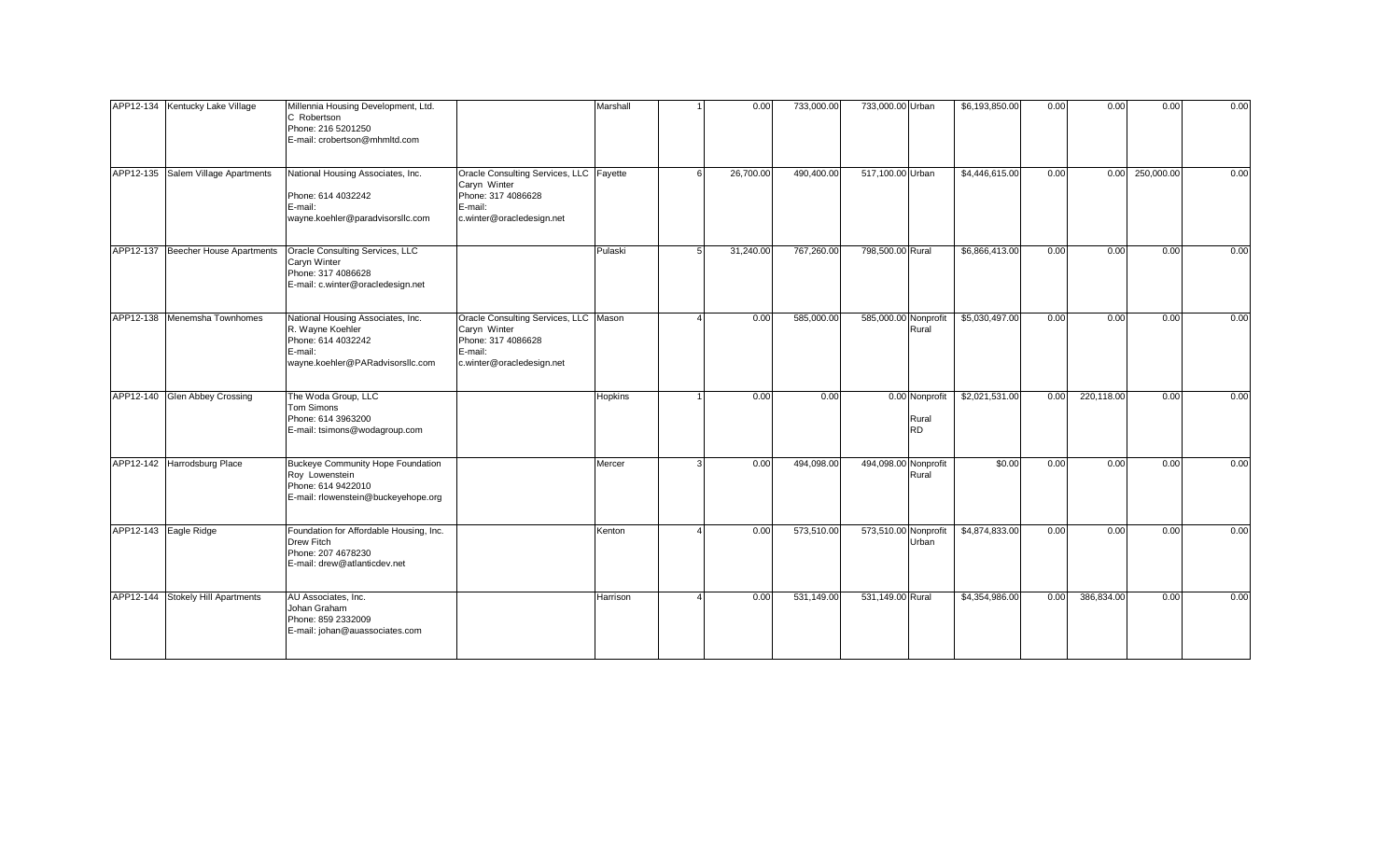| APP12-134 Kentucky Lake Village    | Millennia Housing Development, Ltd.<br>C Robertson<br>Phone: 216 5201250<br>E-mail: crobertson@mhmltd.com                  |                                                                                                                       | Marshall       | 0.00      | 733,000.00 | 733,000.00 Urban                     | \$6,193,850.00 | 0.00 | 0.00       | 0.00       | 0.00 |
|------------------------------------|----------------------------------------------------------------------------------------------------------------------------|-----------------------------------------------------------------------------------------------------------------------|----------------|-----------|------------|--------------------------------------|----------------|------|------------|------------|------|
| APP12-135 Salem Village Apartments | National Housing Associates, Inc.<br>Phone: 614 4032242<br>E-mail:<br>wayne.koehler@paradvisorsllc.com                     | Oracle Consulting Services, LLC Fayette<br>Caryn Winter<br>Phone: 317 4086628<br>E-mail:<br>c.winter@oracledesign.net |                | 26,700.00 | 490,400.00 | 517,100.00 Urban                     | \$4,446,615.00 | 0.00 | 0.00       | 250,000.00 | 0.00 |
| APP12-137 Beecher House Apartments | Oracle Consulting Services, LLC<br>Caryn Winter<br>Phone: 317 4086628<br>E-mail: c.winter@oracledesign.net                 |                                                                                                                       | Pulaski        | 31,240.00 | 767,260.00 | 798,500.00 Rural                     | \$6,866,413.00 | 0.00 | 0.00       | 0.00       | 0.00 |
| APP12-138 Menemsha Townhomes       | National Housing Associates, Inc.<br>R. Wayne Koehler<br>Phone: 614 4032242<br>E-mail:<br>wayne.koehler@PARadvisorsllc.com | Oracle Consulting Services, LLC   Mason<br>Caryn Winter<br>Phone: 317 4086628<br>E-mail:<br>c.winter@oracledesign.net |                | 0.00      | 585,000.00 | 585,000.00 Nonprofit<br>Rural        | \$5,030,497.00 | 0.00 | 0.00       | 0.00       | 0.00 |
| APP12-140 Glen Abbey Crossing      | The Woda Group, LLC<br><b>Tom Simons</b><br>Phone: 614 3963200<br>E-mail: tsimons@wodagroup.com                            |                                                                                                                       | <b>Hopkins</b> | 0.00      | 0.00       | 0.00 Nonprofit<br>Rural<br><b>RD</b> | \$2,021,531.00 | 0.00 | 220,118.00 | 0.00       | 0.00 |
| APP12-142 Harrodsburg Place        | Buckeye Community Hope Foundation<br>Roy Lowenstein<br>Phone: 614 9422010<br>E-mail: rlowenstein@buckeyehope.org           |                                                                                                                       | Mercer         | 0.00      | 494,098.00 | 494,098.00 Nonprofit<br>Rural        | \$0.00         | 0.00 | 0.00       | 0.00       | 0.00 |
| APP12-143 Eagle Ridge              | Foundation for Affordable Housing, Inc.<br>Drew Fitch<br>Phone: 207 4678230<br>E-mail: drew@atlanticdev.net                |                                                                                                                       | Kenton         | 0.00      | 573,510.00 | 573,510.00 Nonprofit<br>Urban        | \$4,874,833.00 | 0.00 | 0.00       | 0.00       | 0.00 |
| APP12-144 Stokely Hill Apartments  | AU Associates, Inc.<br>Johan Graham<br>Phone: 859 2332009<br>E-mail: johan@auassociates.com                                |                                                                                                                       | Harrison       | 0.00      | 531,149.00 | 531,149.00 Rural                     | \$4,354,986.00 | 0.00 | 386,834.00 | 0.00       | 0.00 |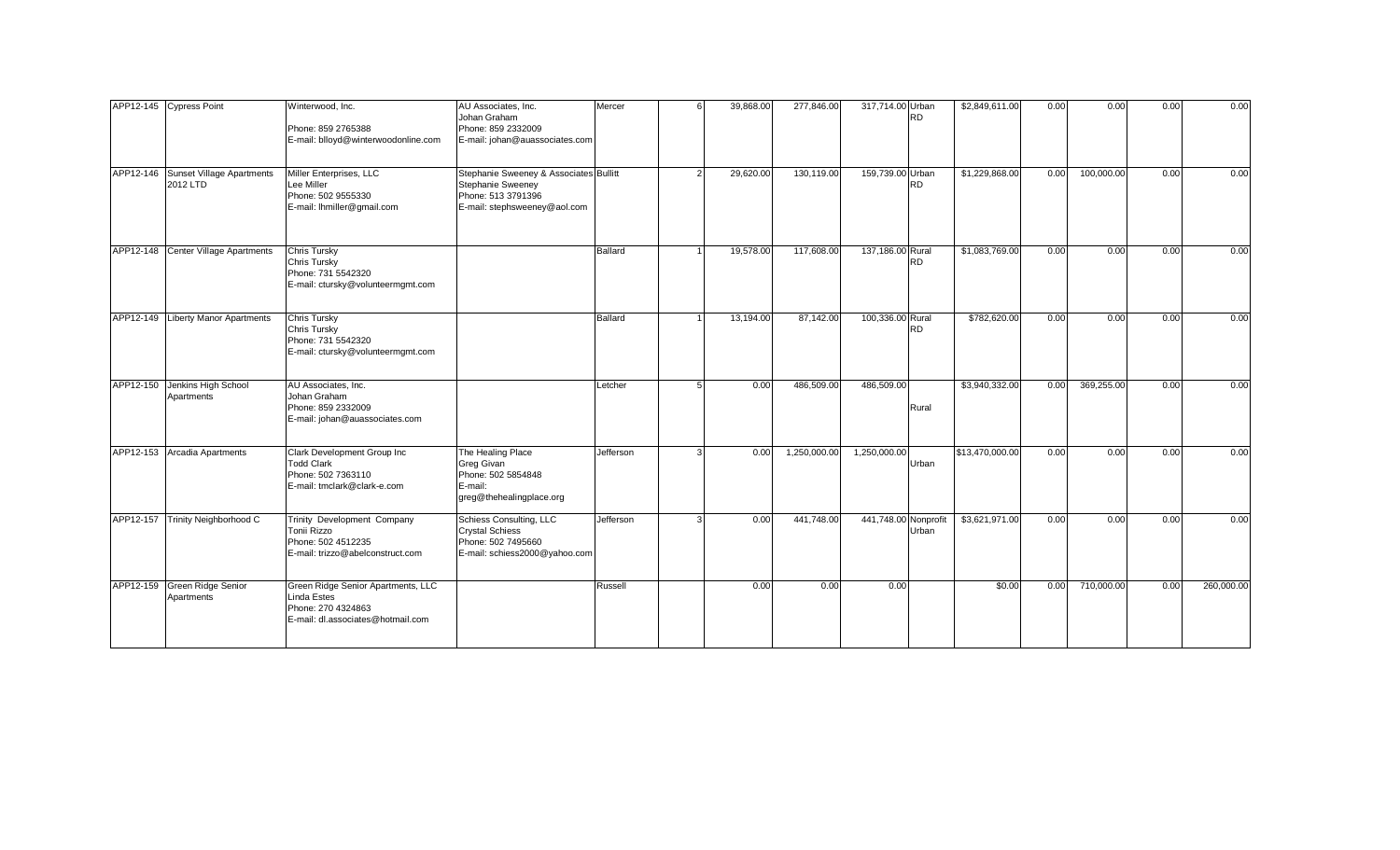|           | APP12-145 Cypress Point                         | Winterwood, Inc.<br>Phone: 859 2765388<br>E-mail: blloyd@winterwoodonline.com                                | AU Associates, Inc.<br>Johan Graham<br>Phone: 859 2332009<br>E-mail: johan@auassociates.com                              | Mercer         | 39,868.00 | 277,846.00   | 317,714.00 Urban<br><b>RD</b> | \$2,849,611.00  | 0.00 | 0.00       | 0.00 | 0.00       |
|-----------|-------------------------------------------------|--------------------------------------------------------------------------------------------------------------|--------------------------------------------------------------------------------------------------------------------------|----------------|-----------|--------------|-------------------------------|-----------------|------|------------|------|------------|
|           | APP12-146 Sunset Village Apartments<br>2012 LTD | Miller Enterprises, LLC<br>Lee Miller<br>Phone: 502 9555330<br>E-mail: Ihmiller@gmail.com                    | Stephanie Sweeney & Associates Bullitt<br><b>Stephanie Sweeney</b><br>Phone: 513 3791396<br>E-mail: stephsweeney@aol.com |                | 29,620.00 | 130,119.00   | 159,739.00 Urban<br><b>RD</b> | \$1,229,868.00  | 0.00 | 100,000.00 | 0.00 | 0.00       |
|           | APP12-148 Center Village Apartments             | <b>Chris Tursky</b><br>Chris Tursky<br>Phone: 731 5542320<br>E-mail: ctursky@volunteermgmt.com               |                                                                                                                          | Ballard        | 19,578.00 | 117,608.00   | 137,186.00 Rural<br><b>RD</b> | \$1,083,769.00  | 0.00 | 0.00       | 0.00 | 0.00       |
|           | APP12-149 Liberty Manor Apartments              | <b>Chris Tursky</b><br>Chris Tursky<br>Phone: 731 5542320<br>E-mail: ctursky@volunteermgmt.com               |                                                                                                                          | <b>Ballard</b> | 13,194.00 | 87,142.00    | 100,336.00 Rural<br><b>RD</b> | \$782,620.00    | 0.00 | 0.00       | 0.00 | 0.00       |
|           | APP12-150 Jenkins High School<br>Apartments     | AU Associates, Inc.<br>Johan Graham<br>Phone: 859 2332009<br>E-mail: johan@auassociates.com                  |                                                                                                                          | Letcher        | 0.00      | 486,509.00   | 486,509.00<br>Rural           | \$3,940,332.00  | 0.00 | 369,255.00 | 0.00 | 0.00       |
|           | APP12-153 Arcadia Apartments                    | Clark Development Group Inc<br><b>Todd Clark</b><br>Phone: 502 7363110<br>E-mail: tmclark@clark-e.com        | The Healing Place<br>Greg Givan<br>Phone: 502 5854848<br>E-mail:<br>greg@thehealingplace.org                             | Jefferson      | 0.00      | 1,250,000.00 | 1,250,000.00<br>Urban         | \$13,470,000.00 | 0.00 | 0.00       | 0.00 | 0.00       |
| APP12-157 | Trinity Neighborhood C                          | Trinity Development Company<br>Tonii Rizzo<br>Phone: 502 4512235<br>E-mail: trizzo@abelconstruct.com         | <b>Schiess Consulting, LLC</b><br><b>Crystal Schiess</b><br>Phone: 502 7495660<br>E-mail: schiess2000@yahoo.com          | Jefferson      | 0.00      | 441,748.00   | 441,748.00 Nonprofit<br>Urban | \$3,621,971.00  | 0.00 | 0.00       | 0.00 | 0.00       |
|           | APP12-159 Green Ridge Senior<br>Apartments      | Green Ridge Senior Apartments, LLC<br>Linda Estes<br>Phone: 270 4324863<br>E-mail: dl.associates@hotmail.com |                                                                                                                          | Russell        | 0.00      | 0.00         | 0.00                          | \$0.00          | 0.00 | 710,000.00 | 0.00 | 260,000.00 |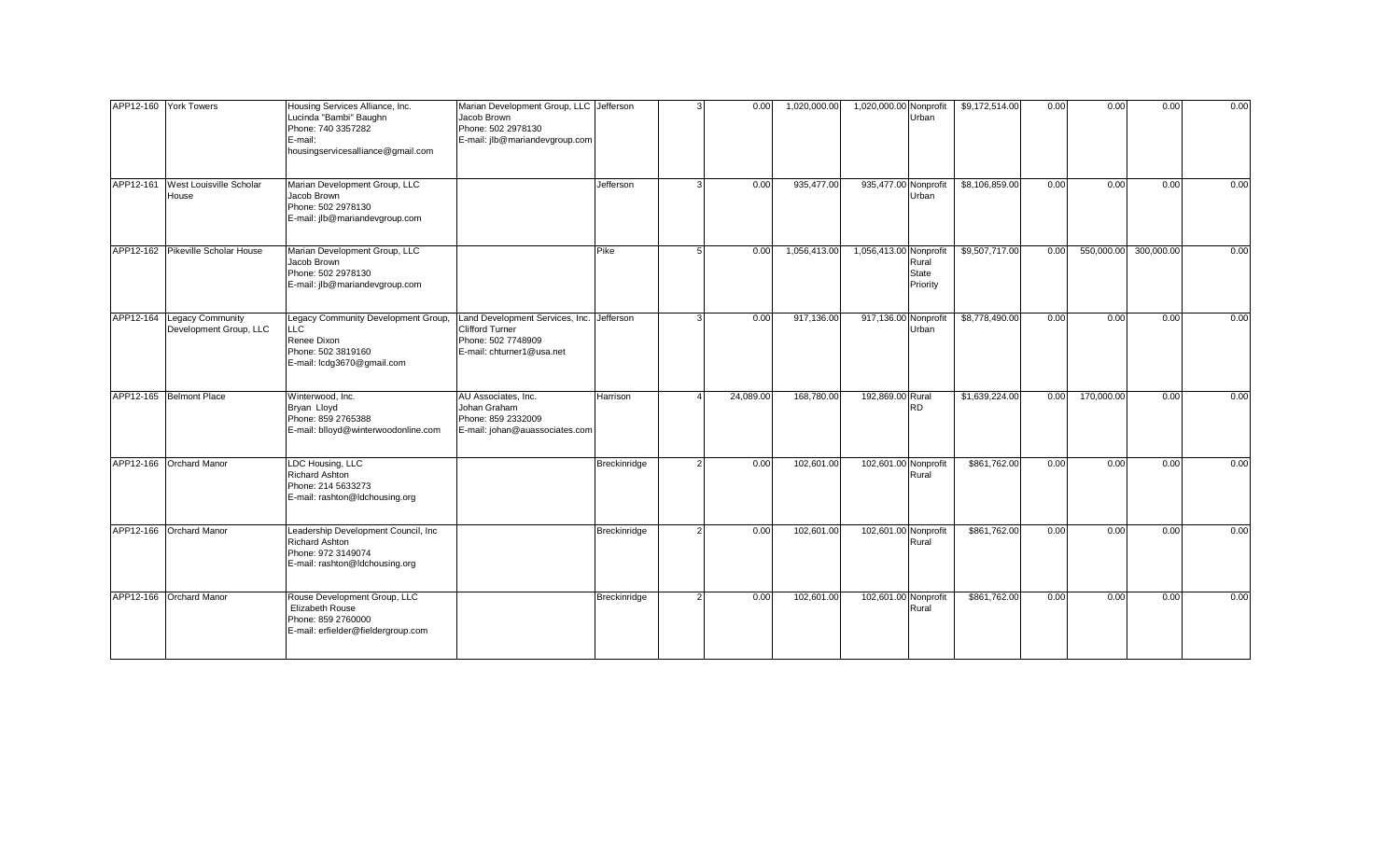|           | APP12-160 York Towers                                | Housing Services Alliance, Inc.<br>Lucinda "Bambi" Baughn<br>Phone: 740 3357282<br>E-mail:<br>housingservicesalliance@gmail.com | Marian Development Group, LLC Jefferson<br>Jacob Brown<br>Phone: 502 2978130<br>E-mail: jlb@mariandevgroup.com         |              | 0.00      | 1,020,000.00 | 1,020,000.00 Nonprofit<br>Urban                             | \$9,172,514.00 | 0.00 | 0.00       | 0.00       | 0.00 |
|-----------|------------------------------------------------------|---------------------------------------------------------------------------------------------------------------------------------|------------------------------------------------------------------------------------------------------------------------|--------------|-----------|--------------|-------------------------------------------------------------|----------------|------|------------|------------|------|
| APP12-161 | West Louisville Scholar<br>House                     | Marian Development Group, LLC<br>Jacob Brown<br>Phone: 502 2978130<br>E-mail: jlb@mariandevgroup.com                            |                                                                                                                        | Jefferson    | 0.00      | 935,477.00   | 935,477.00 Nonprofit<br>Urban                               | \$8,106,859.00 | 0.00 | 0.00       | 0.00       | 0.00 |
|           | APP12-162 Pikeville Scholar House                    | Marian Development Group, LLC<br>Jacob Brown<br>Phone: 502 2978130<br>E-mail: jlb@mariandevgroup.com                            |                                                                                                                        | Pike         | 0.00      | 1,056,413.00 | 1,056,413.00 Nonprofit<br>Rural<br><b>State</b><br>Priority | \$9,507,717.00 | 0.00 | 550,000.00 | 300,000.00 | 0.00 |
|           | APP12-164 Legacy Community<br>Development Group, LLC | Legacy Community Development Group,<br>LL C.<br>Renee Dixon<br>Phone: 502 3819160<br>E-mail: lcdg3670@gmail.com                 | Land Development Services, Inc. Jefferson<br><b>Clifford Turner</b><br>Phone: 502 7748909<br>E-mail: chturner1@usa.net |              | 0.00      | 917,136.00   | 917,136.00 Nonprofit<br>Urban                               | \$8,778,490.00 | 0.00 | 0.00       | 0.00       | 0.00 |
|           | APP12-165 Belmont Place                              | Winterwood, Inc.<br>Bryan Lloyd<br>Phone: 859 2765388<br>E-mail: blloyd@winterwoodonline.com                                    | AU Associates, Inc.<br>Johan Graham<br>Phone: 859 2332009<br>E-mail: johan@auassociates.com                            | Harrison     | 24,089.00 | 168,780.00   | 192,869.00 Rural<br><b>RD</b>                               | \$1,639,224.00 | 0.00 | 170,000.00 | 0.00       | 0.00 |
|           | APP12-166 Orchard Manor                              | LDC Housing, LLC<br><b>Richard Ashton</b><br>Phone: 214 5633273<br>E-mail: rashton@ldchousing.org                               |                                                                                                                        | Breckinridge | 0.00      | 102,601.00   | 102,601.00 Nonprofit<br>Rural                               | \$861,762.00   | 0.00 | 0.00       | 0.00       | 0.00 |
|           | APP12-166 Orchard Manor                              | Leadership Development Council, Inc<br><b>Richard Ashton</b><br>Phone: 972 3149074<br>E-mail: rashton@ldchousing.org            |                                                                                                                        | Breckinridge | 0.00      | 102,601.00   | 102,601.00 Nonprofit<br>Rural                               | \$861,762.00   | 0.00 | 0.00       | 0.00       | 0.00 |
|           | APP12-166 Orchard Manor                              | Rouse Development Group, LLC<br>Elizabeth Rouse<br>Phone: 859 2760000<br>E-mail: erfielder@fieldergroup.com                     |                                                                                                                        | Breckinridge | 0.00      | 102,601.00   | 102,601.00 Nonprofit<br>Rural                               | \$861,762.00   | 0.00 | 0.00       | 0.00       | 0.00 |